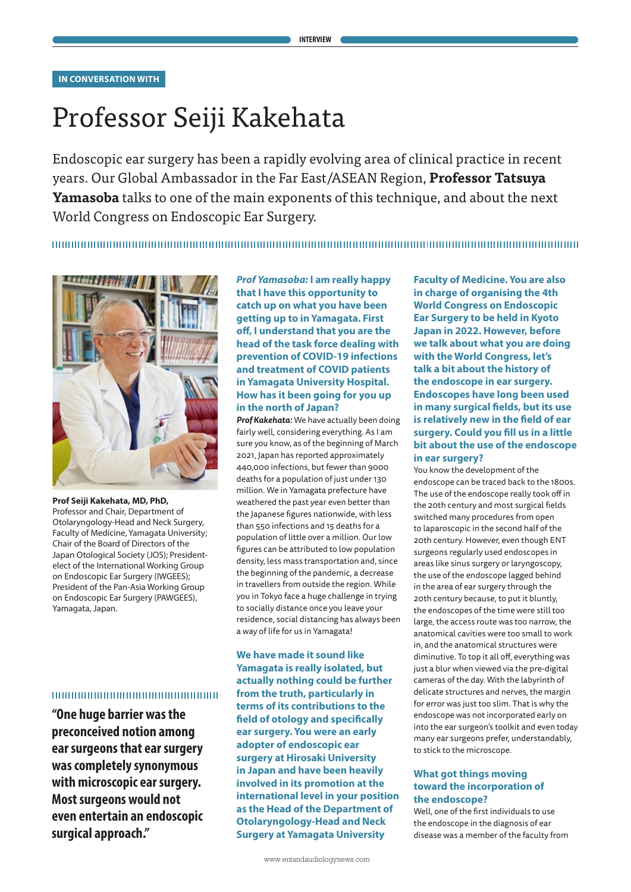# Professor Seiji Kakehata

Endoscopic ear surgery has been a rapidly evolving area of clinical practice in recent years. Our Global Ambassador in the Far East/ASEAN Region, **Professor Tatsuya Yamasoba** talks to one of the main exponents of this technique, and about the next World Congress on Endoscopic Ear Surgery.



**Prof Seiji Kakehata, MD, PhD,** Professor and Chair, Department of Otolaryngology-Head and Neck Surgery, Faculty of Medicine, Yamagata University; Chair of the Board of Directors of the Japan Otological Society (JOS); Presidentelect of the International Working Group on Endoscopic Ear Surgery (IWGEES); President of the Pan-Asia Working Group on Endoscopic Ear Surgery (PAWGEES), Yamagata, Japan.

# 10000000000000000000000000000

**"One huge barrier was the preconceived notion among ear surgeons that ear surgery was completely synonymous with microscopic ear surgery. Most surgeons would not even entertain an endoscopic surgical approach."**

## *Prof Yamasoba:* **I am really happy that I have this opportunity to catch up on what you have been getting up to in Yamagata. First off, I understand that you are the head of the task force dealing with prevention of COVID-19 infections and treatment of COVID patients in Yamagata University Hospital. How has it been going for you up in the north of Japan?**

*Prof Kakehata:* We have actually been doing fairly well, considering everything. As I am sure you know, as of the beginning of March 2021, Japan has reported approximately 440,000 infections, but fewer than 9000 deaths for a population of just under 130 million. We in Yamagata prefecture have weathered the past year even better than the Japanese figures nationwide, with less than 550 infections and 15 deaths for a population of little over a million. Our low figures can be attributed to low population density, less mass transportation and, since the beginning of the pandemic, a decrease in travellers from outside the region. While you in Tokyo face a huge challenge in trying to socially distance once you leave your residence, social distancing has always been a way of life for us in Yamagata!

**We have made it sound like Yamagata is really isolated, but actually nothing could be further from the truth, particularly in terms of its contributions to the field of otology and specifically ear surgery. You were an early adopter of endoscopic ear surgery at Hirosaki University in Japan and have been heavily involved in its promotion at the international level in your position as the Head of the Department of Otolaryngology-Head and Neck Surgery at Yamagata University** 

**Faculty of Medicine. You are also in charge of organising the 4th World Congress on Endoscopic Ear Surgery to be held in Kyoto Japan in 2022. However, before we talk about what you are doing with the World Congress, let's talk a bit about the history of the endoscope in ear surgery. Endoscopes have long been used in many surgical fields, but its use is relatively new in the field of ear surgery. Could you fill us in a little bit about the use of the endoscope in ear surgery?** 

You know the development of the endoscope can be traced back to the 1800s. The use of the endoscope really took off in the 20th century and most surgical fields switched many procedures from open to laparoscopic in the second half of the 20th century. However, even though ENT surgeons regularly used endoscopes in areas like sinus surgery or laryngoscopy, the use of the endoscope lagged behind in the area of ear surgery through the 20th century because, to put it bluntly, the endoscopes of the time were still too large, the access route was too narrow, the anatomical cavities were too small to work in, and the anatomical structures were diminutive. To top it all off, everything was just a blur when viewed via the pre-digital cameras of the day. With the labyrinth of delicate structures and nerves, the margin for error was just too slim. That is why the endoscope was not incorporated early on into the ear surgeon's toolkit and even today many ear surgeons prefer, understandably, to stick to the microscope.

#### **What got things moving toward the incorporation of the endoscope?**

Well, one of the first individuals to use the endoscope in the diagnosis of ear disease was a member of the faculty from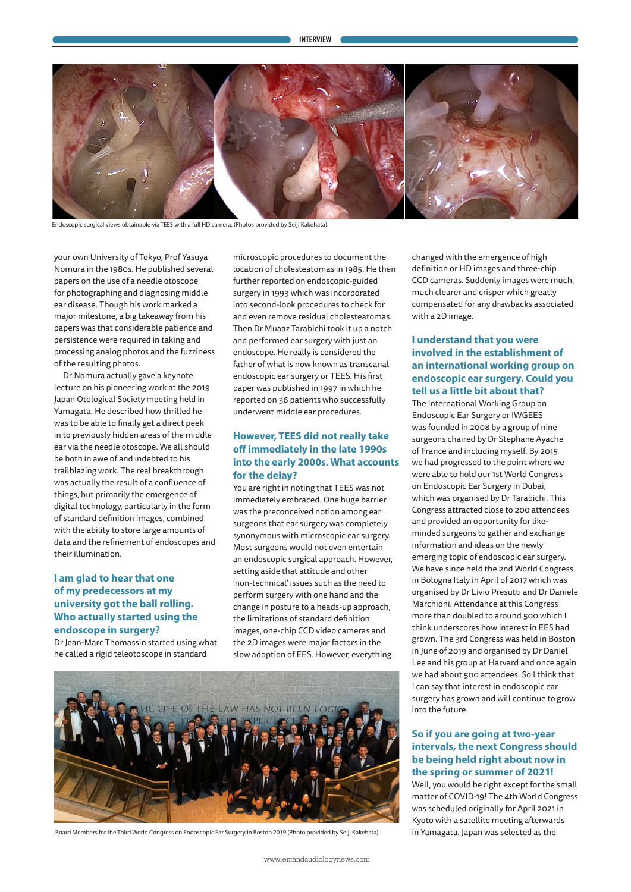

Endoscopic surgical views obtainable via TEES with a full HD camera. (Photos provided by Seiji Kakehata).

your own University of Tokyo, Prof Yasuya Nomura in the 1980s. He published several papers on the use of a needle otoscope for photographing and diagnosing middle ear disease. Though his work marked a major milestone, a big takeaway from his papers was that considerable patience and persistence were required in taking and processing analog photos and the fuzziness of the resulting photos.

Dr Nomura actually gave a keynote lecture on his pioneering work at the 2019 Japan Otological Society meeting held in Yamagata. He described how thrilled he was to be able to finally get a direct peek in to previously hidden areas of the middle ear via the needle otoscope. We all should be both in awe of and indebted to his trailblazing work. The real breakthrough was actually the result of a confluence of things, but primarily the emergence of digital technology, particularly in the form of standard definition images, combined with the ability to store large amounts of data and the refinement of endoscopes and their illumination.

## **I am glad to hear that one of my predecessors at my university got the ball rolling. Who actually started using the endoscope in surgery?**

Dr Jean-Marc Thomassin started using what he called a rigid teleotoscope in standard

microscopic procedures to document the location of cholesteatomas in 1985. He then further reported on endoscopic-guided surgery in 1993 which was incorporated into second-look procedures to check for and even remove residual cholesteatomas. Then Dr Muaaz Tarabichi took it up a notch and performed ear surgery with just an endoscope. He really is considered the father of what is now known as transcanal endoscopic ear surgery or TEES. His first paper was published in 1997 in which he reported on 36 patients who successfully underwent middle ear procedures.

## **However, TEES did not really take off immediately in the late 1990s into the early 2000s. What accounts for the delay?**

You are right in noting that TEES was not immediately embraced. One huge barrier was the preconceived notion among ear surgeons that ear surgery was completely synonymous with microscopic ear surgery. Most surgeons would not even entertain an endoscopic surgical approach. However, setting aside that attitude and other 'non-technical' issues such as the need to perform surgery with one hand and the change in posture to a heads-up approach, the limitations of standard definition images, one-chip CCD video cameras and the 2D images were major factors in the slow adoption of EES. However, everything



Board Members for the Third World Congress on Endoscopic Ear Surgery in Boston 2019 (Photo provided by Seiji Kakehata).

changed with the emergence of high definition or HD images and three-chip CCD cameras. Suddenly images were much, much clearer and crisper which greatly compensated for any drawbacks associated with a 2D image.

# **I understand that you were involved in the establishment of an international working group on endoscopic ear surgery. Could you tell us a little bit about that?**

The International Working Group on Endoscopic Ear Surgery or IWGEES was founded in 2008 by a group of nine surgeons chaired by Dr Stephane Ayache of France and including myself. By 2015 we had progressed to the point where we were able to hold our 1st World Congress on Endoscopic Ear Surgery in Dubai, which was organised by Dr Tarabichi. This Congress attracted close to 200 attendees and provided an opportunity for likeminded surgeons to gather and exchange information and ideas on the newly emerging topic of endoscopic ear surgery. We have since held the 2nd World Congress in Bologna Italy in April of 2017 which was organised by Dr Livio Presutti and Dr Daniele Marchioni. Attendance at this Congress more than doubled to around 500 which I think underscores how interest in EES had grown. The 3rd Congress was held in Boston in June of 2019 and organised by Dr Daniel Lee and his group at Harvard and once again we had about 500 attendees. So I think that I can say that interest in endoscopic ear surgery has grown and will continue to grow into the future.

## **So if you are going at two-year intervals, the next Congress should be being held right about now in the spring or summer of 2021!**

Well, you would be right except for the small matter of COVID-19! The 4th World Congress was scheduled originally for April 2021 in Kyoto with a satellite meeting afterwards in Yamagata. Japan was selected as the